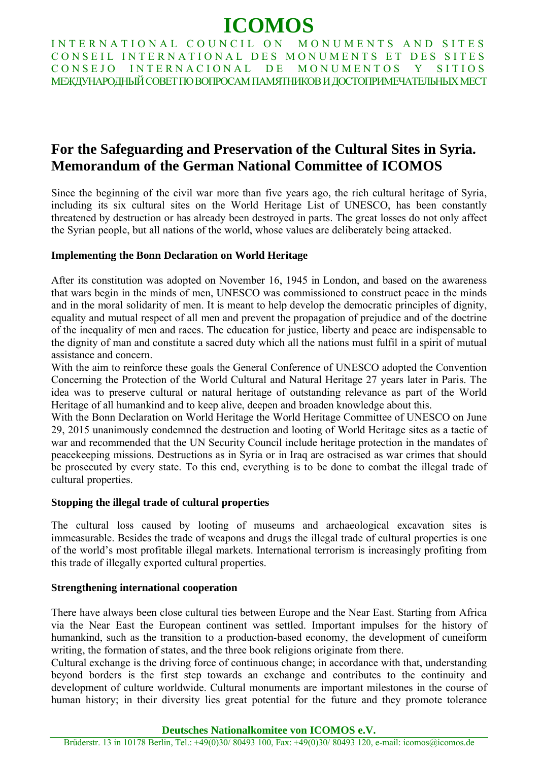# **ICOMOS**

INTERNATIONAL COUNCIL ON MONUMENTS AND SITES CONSEIL INTERNATIONAL DES MONUMENTS ET DES SITES CONSEJO INTERNACIONAL DE MONUMENTOS Y SITIOS <u>MEЖЛУНАРОЛНЫЙ СОВЕТ ПО ВОПРОСАМ ПАМЯТНИКОВ И ЛОСТОПРИМЕЧАТЕЛЬНЫХ МЕСТ</u>

## **For the Safeguarding and Preservation of the Cultural Sites in Syria. Memorandum of the German National Committee of ICOMOS**

Since the beginning of the civil war more than five years ago, the rich cultural heritage of Syria, including its six cultural sites on the World Heritage List of UNESCO, has been constantly threatened by destruction or has already been destroyed in parts. The great losses do not only affect the Syrian people, but all nations of the world, whose values are deliberately being attacked.

### **Implementing the Bonn Declaration on World Heritage**

After its constitution was adopted on November 16, 1945 in London, and based on the awareness that wars begin in the minds of men, UNESCO was commissioned to construct peace in the minds and in the moral solidarity of men. It is meant to help develop the democratic principles of dignity, equality and mutual respect of all men and prevent the propagation of prejudice and of the doctrine of the inequality of men and races. The education for justice, liberty and peace are indispensable to the dignity of man and constitute a sacred duty which all the nations must fulfil in a spirit of mutual assistance and concern.

With the aim to reinforce these goals the General Conference of UNESCO adopted the Convention Concerning the Protection of the World Cultural and Natural Heritage 27 years later in Paris. The idea was to preserve cultural or natural heritage of outstanding relevance as part of the World Heritage of all humankind and to keep alive, deepen and broaden knowledge about this.

With the Bonn Declaration on World Heritage the World Heritage Committee of UNESCO on June 29, 2015 unanimously condemned the destruction and looting of World Heritage sites as a tactic of war and recommended that the UN Security Council include heritage protection in the mandates of peacekeeping missions. Destructions as in Syria or in Iraq are ostracised as war crimes that should be prosecuted by every state. To this end, everything is to be done to combat the illegal trade of cultural properties.

#### **Stopping the illegal trade of cultural properties**

The cultural loss caused by looting of museums and archaeological excavation sites is immeasurable. Besides the trade of weapons and drugs the illegal trade of cultural properties is one of the world's most profitable illegal markets. International terrorism is increasingly profiting from this trade of illegally exported cultural properties.

#### **Strengthening international cooperation**

There have always been close cultural ties between Europe and the Near East. Starting from Africa via the Near East the European continent was settled. Important impulses for the history of humankind, such as the transition to a production-based economy, the development of cuneiform writing, the formation of states, and the three book religions originate from there.

Cultural exchange is the driving force of continuous change; in accordance with that, understanding beyond borders is the first step towards an exchange and contributes to the continuity and development of culture worldwide. Cultural monuments are important milestones in the course of human history; in their diversity lies great potential for the future and they promote tolerance

#### **Deutsches Nationalkomitee von ICOMOS e.V.**